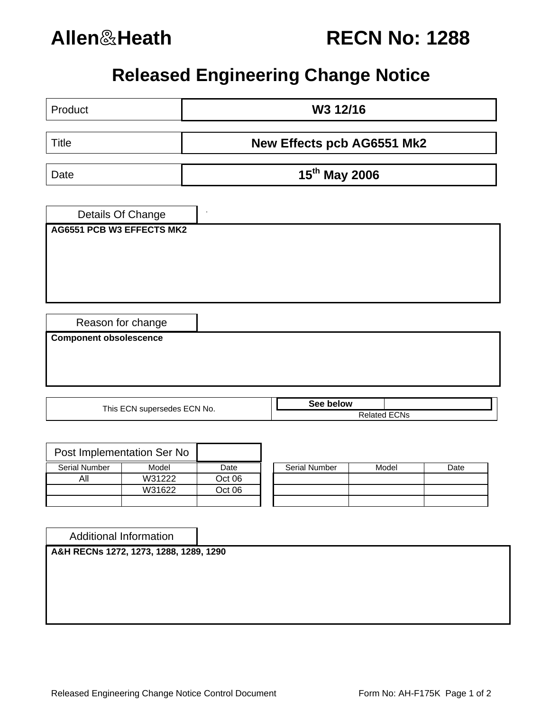

# **Allen**&**Heath RECN No: 1288**

## **Released Engineering Change Notice**

| Product                          |                            | W3 12/16                   |                      |       |      |  |  |
|----------------------------------|----------------------------|----------------------------|----------------------|-------|------|--|--|
| <b>Title</b>                     |                            | New Effects pcb AG6551 Mk2 |                      |       |      |  |  |
| Date                             |                            | 15th May 2006              |                      |       |      |  |  |
|                                  | Details Of Change          | $\ddot{\phantom{0}}$       |                      |       |      |  |  |
| <b>AG6551 PCB W3 EFFECTS MK2</b> |                            |                            |                      |       |      |  |  |
|                                  |                            |                            |                      |       |      |  |  |
|                                  |                            |                            |                      |       |      |  |  |
|                                  |                            |                            |                      |       |      |  |  |
| <b>Component obsolescence</b>    | Reason for change          |                            |                      |       |      |  |  |
|                                  |                            |                            |                      |       |      |  |  |
|                                  |                            |                            |                      |       |      |  |  |
|                                  |                            |                            | See below            |       |      |  |  |
| This ECN supersedes ECN No.      |                            |                            | <b>Related ECNs</b>  |       |      |  |  |
|                                  |                            |                            |                      |       |      |  |  |
|                                  | Post Implementation Ser No |                            |                      |       |      |  |  |
| <b>Serial Number</b>             | Model                      | Date                       | <b>Serial Number</b> | Model | Date |  |  |
| All                              | W31222                     | Oct 06                     |                      |       |      |  |  |
|                                  | W31622                     | Oct 06                     |                      |       |      |  |  |
|                                  |                            |                            |                      |       |      |  |  |
|                                  |                            |                            |                      |       |      |  |  |
|                                  |                            |                            |                      |       |      |  |  |

Additional Information

**A&H RECNs 1272, 1273, 1288, 1289, 1290**